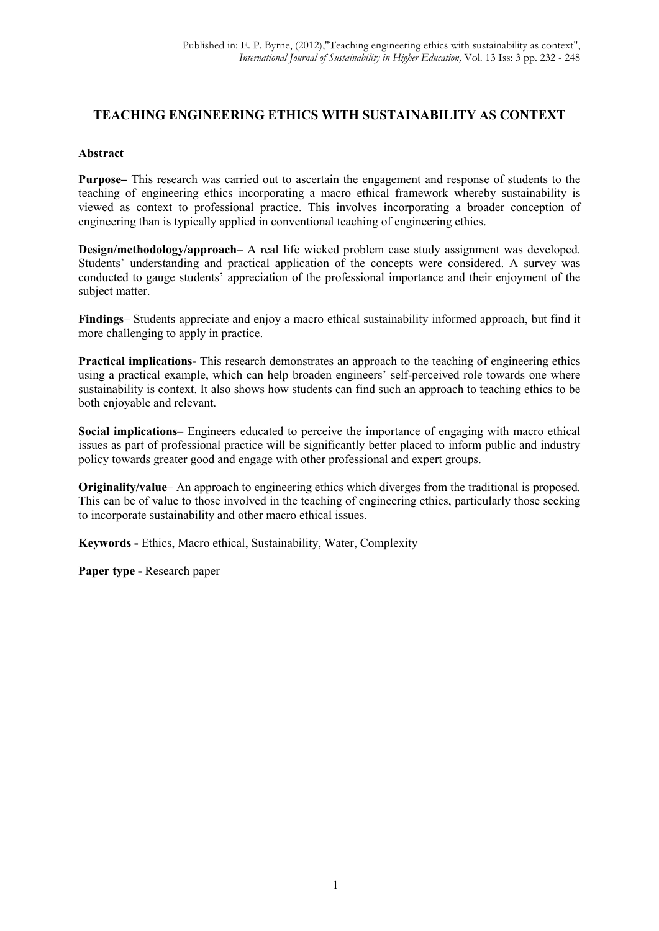# **TEACHING ENGINEERING ETHICS WITH SUSTAINABILITY AS CONTEXT**

## **Abstract**

**Purpose–** This research was carried out to ascertain the engagement and response of students to the teaching of engineering ethics incorporating a macro ethical framework whereby sustainability is viewed as context to professional practice. This involves incorporating a broader conception of engineering than is typically applied in conventional teaching of engineering ethics.

**Design/methodology/approach**– A real life wicked problem case study assignment was developed. Students' understanding and practical application of the concepts were considered. A survey was conducted to gauge students' appreciation of the professional importance and their enjoyment of the subject matter.

**Findings**– Students appreciate and enjoy a macro ethical sustainability informed approach, but find it more challenging to apply in practice.

**Practical implications-** This research demonstrates an approach to the teaching of engineering ethics using a practical example, which can help broaden engineers' self-perceived role towards one where sustainability is context. It also shows how students can find such an approach to teaching ethics to be both enjoyable and relevant.

**Social implications**– Engineers educated to perceive the importance of engaging with macro ethical issues as part of professional practice will be significantly better placed to inform public and industry policy towards greater good and engage with other professional and expert groups.

**Originality/value–** An approach to engineering ethics which diverges from the traditional is proposed. This can be of value to those involved in the teaching of engineering ethics, particularly those seeking to incorporate sustainability and other macro ethical issues.

**Keywords -** Ethics, Macro ethical, Sustainability, Water, Complexity

**Paper type -** Research paper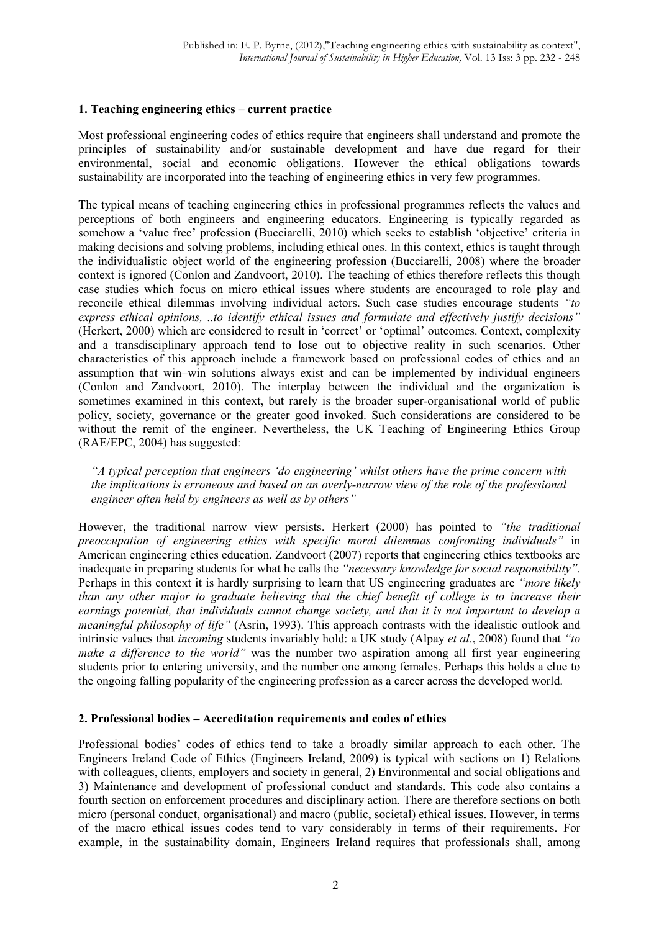## **1. Teaching engineering ethics – current practice**

Most professional engineering codes of ethics require that engineers shall understand and promote the principles of sustainability and/or sustainable development and have due regard for their environmental, social and economic obligations. However the ethical obligations towards sustainability are incorporated into the teaching of engineering ethics in very few programmes.

The typical means of teaching engineering ethics in professional programmes reflects the values and perceptions of both engineers and engineering educators. Engineering is typically regarded as somehow a 'value free' profession (Bucciarelli, 2010) which seeks to establish 'objective' criteria in making decisions and solving problems, including ethical ones. In this context, ethics is taught through the individualistic object world of the engineering profession (Bucciarelli, 2008) where the broader context is ignored (Conlon and Zandvoort, 2010). The teaching of ethics therefore reflects this though case studies which focus on micro ethical issues where students are encouraged to role play and reconcile ethical dilemmas involving individual actors. Such case studies encourage students *"to express ethical opinions, ..to identify ethical issues and formulate and effectively justify decisions"* (Herkert, 2000) which are considered to result in 'correct' or 'optimal' outcomes. Context, complexity and a transdisciplinary approach tend to lose out to objective reality in such scenarios. Other characteristics of this approach include a framework based on professional codes of ethics and an assumption that win–win solutions always exist and can be implemented by individual engineers (Conlon and Zandvoort, 2010). The interplay between the individual and the organization is sometimes examined in this context, but rarely is the broader super-organisational world of public policy, society, governance or the greater good invoked. Such considerations are considered to be without the remit of the engineer. Nevertheless, the UK Teaching of Engineering Ethics Group (RAE/EPC, 2004) has suggested:

*"A typical perception that engineers 'do engineering' whilst others have the prime concern with the implications is erroneous and based on an overly-narrow view of the role of the professional engineer often held by engineers as well as by others"* 

However, the traditional narrow view persists. Herkert (2000) has pointed to *"the traditional preoccupation of engineering ethics with specific moral dilemmas confronting individuals"* in American engineering ethics education. Zandvoort (2007) reports that engineering ethics textbooks are inadequate in preparing students for what he calls the *"necessary knowledge for social responsibility"*. Perhaps in this context it is hardly surprising to learn that US engineering graduates are *"more likely than any other major to graduate believing that the chief benefit of college is to increase their earnings potential, that individuals cannot change society, and that it is not important to develop a meaningful philosophy of life"* (Asrin, 1993). This approach contrasts with the idealistic outlook and intrinsic values that *incoming* students invariably hold: a UK study (Alpay *et al.*, 2008) found that *"to make a difference to the world"* was the number two aspiration among all first year engineering students prior to entering university, and the number one among females. Perhaps this holds a clue to the ongoing falling popularity of the engineering profession as a career across the developed world.

## **2. Professional bodies – Accreditation requirements and codes of ethics**

Professional bodies' codes of ethics tend to take a broadly similar approach to each other. The Engineers Ireland Code of Ethics (Engineers Ireland, 2009) is typical with sections on 1) Relations with colleagues, clients, employers and society in general, 2) Environmental and social obligations and 3) Maintenance and development of professional conduct and standards. This code also contains a fourth section on enforcement procedures and disciplinary action. There are therefore sections on both micro (personal conduct, organisational) and macro (public, societal) ethical issues. However, in terms of the macro ethical issues codes tend to vary considerably in terms of their requirements. For example, in the sustainability domain, Engineers Ireland requires that professionals shall, among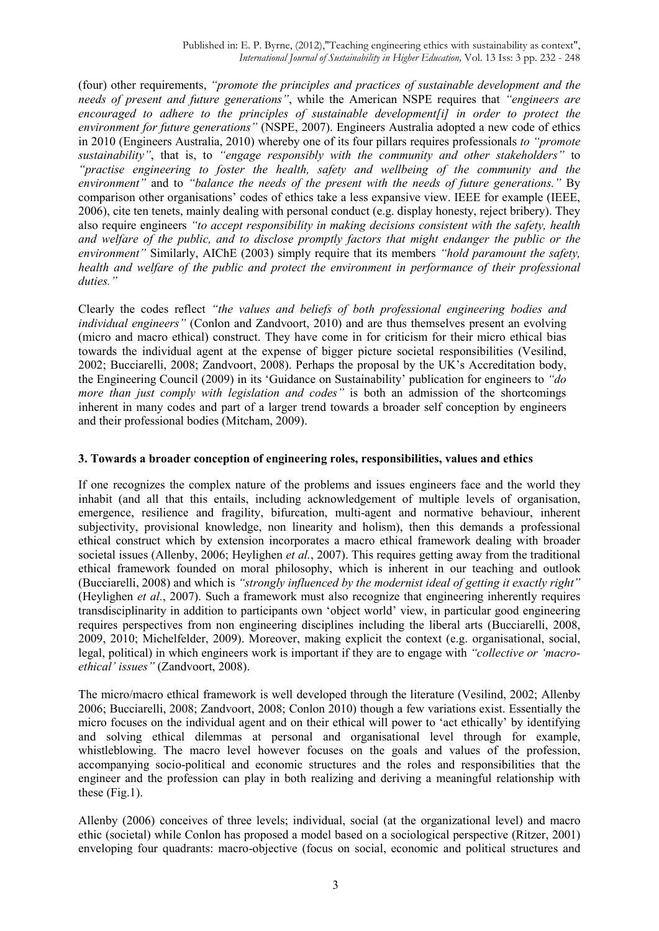(four) other requirements, *"promote the principles and practices of sustainable development and the needs of present and future generations"*, while the American NSPE requires that *"engineers are encouraged to adhere to the principles of sustainable development[i] in order to protect the environment for future generations"* (NSPE, 2007). Engineers Australia adopted a new code of ethics in 2010 (Engineers Australia, 2010) whereby one of its four pillars requires professionals *to "promote sustainability"*, that is, to *"engage responsibly with the community and other stakeholders"* to *"practise engineering to foster the health, safety and wellbeing of the community and the environment"* and to *"balance the needs of the present with the needs of future generations."* By comparison other organisations' codes of ethics take a less expansive view. IEEE for example (IEEE, 2006), cite ten tenets, mainly dealing with personal conduct (e.g. display honesty, reject bribery). They also require engineers *"to accept responsibility in making decisions consistent with the safety, health and welfare of the public, and to disclose promptly factors that might endanger the public or the environment"* Similarly, AIChE (2003) simply require that its members *"hold paramount the safety, health and welfare of the public and protect the environment in performance of their professional duties."* 

Clearly the codes reflect *"the values and beliefs of both professional engineering bodies and individual engineers"* (Conlon and Zandvoort, 2010) and are thus themselves present an evolving (micro and macro ethical) construct. They have come in for criticism for their micro ethical bias towards the individual agent at the expense of bigger picture societal responsibilities (Vesilind, 2002; Bucciarelli, 2008; Zandvoort, 2008). Perhaps the proposal by the UK's Accreditation body, the Engineering Council (2009) in its 'Guidance on Sustainability' publication for engineers to *"do more than just comply with legislation and codes"* is both an admission of the shortcomings inherent in many codes and part of a larger trend towards a broader self conception by engineers and their professional bodies (Mitcham, 2009).

#### **3. Towards a broader conception of engineering roles, responsibilities, values and ethics**

If one recognizes the complex nature of the problems and issues engineers face and the world they inhabit (and all that this entails, including acknowledgement of multiple levels of organisation, emergence, resilience and fragility, bifurcation, multi-agent and normative behaviour, inherent subjectivity, provisional knowledge, non linearity and holism), then this demands a professional ethical construct which by extension incorporates a macro ethical framework dealing with broader societal issues (Allenby, 2006; Heylighen *et al.*, 2007). This requires getting away from the traditional ethical framework founded on moral philosophy, which is inherent in our teaching and outlook (Bucciarelli, 2008) and which is *"strongly influenced by the modernist ideal of getting it exactly right"* (Heylighen *et al.*, 2007). Such a framework must also recognize that engineering inherently requires transdisciplinarity in addition to participants own 'object world' view, in particular good engineering requires perspectives from non engineering disciplines including the liberal arts (Bucciarelli, 2008, 2009, 2010; Michelfelder, 2009). Moreover, making explicit the context (e.g. organisational, social, legal, political) in which engineers work is important if they are to engage with *"collective or 'macroethical' issues"* (Zandvoort, 2008).

The micro/macro ethical framework is well developed through the literature (Vesilind, 2002; Allenby 2006; Bucciarelli, 2008; Zandvoort, 2008; Conlon 2010) though a few variations exist. Essentially the micro focuses on the individual agent and on their ethical will power to 'act ethically' by identifying and solving ethical dilemmas at personal and organisational level through for example, whistleblowing. The macro level however focuses on the goals and values of the profession, accompanying socio-political and economic structures and the roles and responsibilities that the engineer and the profession can play in both realizing and deriving a meaningful relationship with these (Fig.1).

Allenby (2006) conceives of three levels; individual, social (at the organizational level) and macro ethic (societal) while Conlon has proposed a model based on a sociological perspective (Ritzer, 2001) enveloping four quadrants: macro-objective (focus on social, economic and political structures and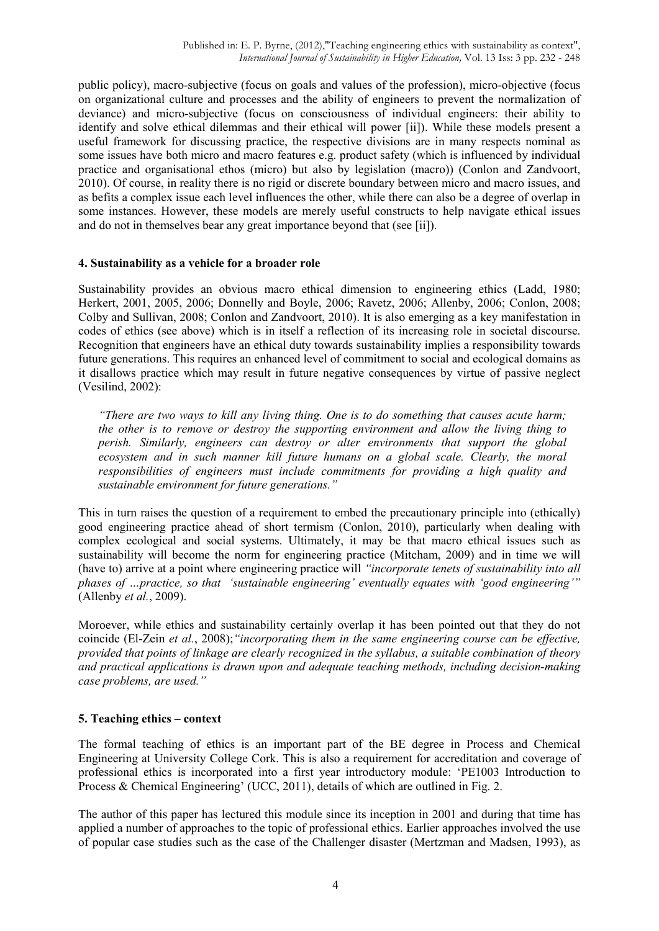public policy), macro-subjective (focus on goals and values of the profession), micro-objective (focus on organizational culture and processes and the ability of engineers to prevent the normalization of deviance) and micro-subjective (focus on consciousness of individual engineers: their ability to identify and solve ethical dilemmas and their ethical will power [ii]). While these models present a useful framework for discussing practice, the respective divisions are in many respects nominal as some issues have both micro and macro features e.g. product safety (which is influenced by individual practice and organisational ethos (micro) but also by legislation (macro)) (Conlon and Zandvoort, 2010). Of course, in reality there is no rigid or discrete boundary between micro and macro issues, and as befits a complex issue each level influences the other, while there can also be a degree of overlap in some instances. However, these models are merely useful constructs to help navigate ethical issues and do not in themselves bear any great importance beyond that (see [ii]).

## **4. Sustainability as a vehicle for a broader role**

Sustainability provides an obvious macro ethical dimension to engineering ethics (Ladd, 1980; Herkert, 2001, 2005, 2006; Donnelly and Boyle, 2006; Ravetz, 2006; Allenby, 2006; Conlon, 2008; Colby and Sullivan, 2008; Conlon and Zandvoort, 2010). It is also emerging as a key manifestation in codes of ethics (see above) which is in itself a reflection of its increasing role in societal discourse. Recognition that engineers have an ethical duty towards sustainability implies a responsibility towards future generations. This requires an enhanced level of commitment to social and ecological domains as it disallows practice which may result in future negative consequences by virtue of passive neglect (Vesilind, 2002):

*"There are two ways to kill any living thing. One is to do something that causes acute harm; the other is to remove or destroy the supporting environment and allow the living thing to perish. Similarly, engineers can destroy or alter environments that support the global ecosystem and in such manner kill future humans on a global scale. Clearly, the moral responsibilities of engineers must include commitments for providing a high quality and sustainable environment for future generations."*

This in turn raises the question of a requirement to embed the precautionary principle into (ethically) good engineering practice ahead of short termism (Conlon, 2010), particularly when dealing with complex ecological and social systems. Ultimately, it may be that macro ethical issues such as sustainability will become the norm for engineering practice (Mitcham, 2009) and in time we will (have to) arrive at a point where engineering practice will *"incorporate tenets of sustainability into all phases of …practice, so that 'sustainable engineering' eventually equates with 'good engineering'"* (Allenby *et al.*, 2009).

Moroever, while ethics and sustainability certainly overlap it has been pointed out that they do not coincide (El-Zein *et al.*, 2008);*"incorporating them in the same engineering course can be effective, provided that points of linkage are clearly recognized in the syllabus, a suitable combination of theory and practical applications is drawn upon and adequate teaching methods, including decision-making case problems, are used."* 

## **5. Teaching ethics – context**

The formal teaching of ethics is an important part of the BE degree in Process and Chemical Engineering at University College Cork. This is also a requirement for accreditation and coverage of professional ethics is incorporated into a first year introductory module: 'PE1003 Introduction to Process & Chemical Engineering' (UCC, 2011), details of which are outlined in Fig. 2.

The author of this paper has lectured this module since its inception in 2001 and during that time has applied a number of approaches to the topic of professional ethics. Earlier approaches involved the use of popular case studies such as the case of the Challenger disaster (Mertzman and Madsen, 1993), as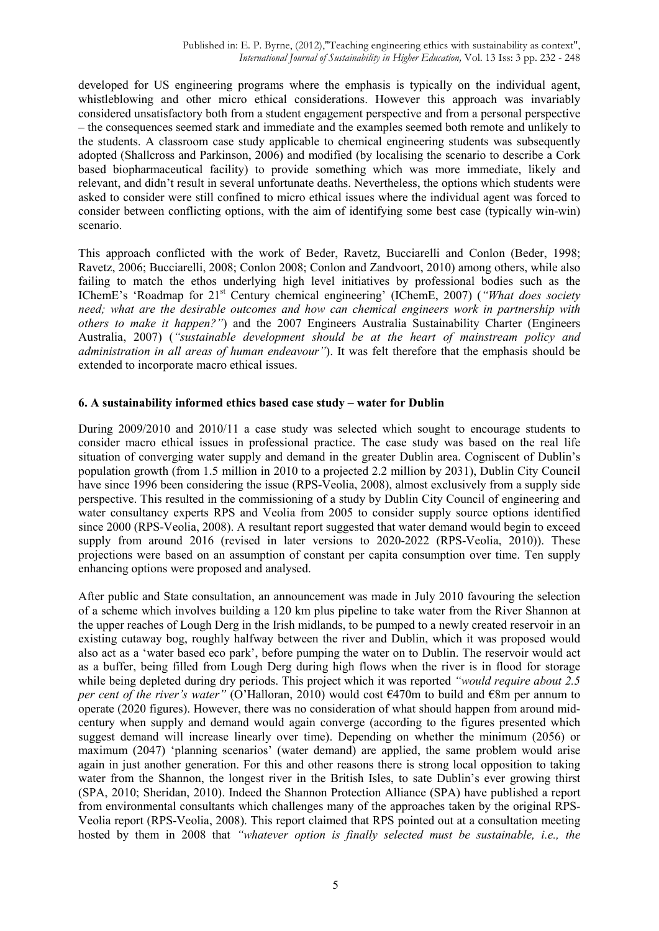developed for US engineering programs where the emphasis is typically on the individual agent, whistleblowing and other micro ethical considerations. However this approach was invariably considered unsatisfactory both from a student engagement perspective and from a personal perspective – the consequences seemed stark and immediate and the examples seemed both remote and unlikely to the students. A classroom case study applicable to chemical engineering students was subsequently adopted (Shallcross and Parkinson, 2006) and modified (by localising the scenario to describe a Cork based biopharmaceutical facility) to provide something which was more immediate, likely and relevant, and didn't result in several unfortunate deaths. Nevertheless, the options which students were asked to consider were still confined to micro ethical issues where the individual agent was forced to consider between conflicting options, with the aim of identifying some best case (typically win-win) scenario.

This approach conflicted with the work of Beder, Ravetz, Bucciarelli and Conlon (Beder, 1998; Ravetz, 2006; Bucciarelli, 2008; Conlon 2008; Conlon and Zandvoort, 2010) among others, while also failing to match the ethos underlying high level initiatives by professional bodies such as the IChemE's 'Roadmap for 21st Century chemical engineering' (IChemE, 2007) (*"What does society need; what are the desirable outcomes and how can chemical engineers work in partnership with others to make it happen?"*) and the 2007 Engineers Australia Sustainability Charter (Engineers Australia, 2007) (*"sustainable development should be at the heart of mainstream policy and administration in all areas of human endeavour"*). It was felt therefore that the emphasis should be extended to incorporate macro ethical issues.

## **6. A sustainability informed ethics based case study – water for Dublin**

During 2009/2010 and 2010/11 a case study was selected which sought to encourage students to consider macro ethical issues in professional practice. The case study was based on the real life situation of converging water supply and demand in the greater Dublin area. Cogniscent of Dublin's population growth (from 1.5 million in 2010 to a projected 2.2 million by 2031), Dublin City Council have since 1996 been considering the issue (RPS-Veolia, 2008), almost exclusively from a supply side perspective. This resulted in the commissioning of a study by Dublin City Council of engineering and water consultancy experts RPS and Veolia from 2005 to consider supply source options identified since 2000 (RPS-Veolia, 2008). A resultant report suggested that water demand would begin to exceed supply from around 2016 (revised in later versions to 2020-2022 (RPS-Veolia, 2010)). These projections were based on an assumption of constant per capita consumption over time. Ten supply enhancing options were proposed and analysed.

After public and State consultation, an announcement was made in July 2010 favouring the selection of a scheme which involves building a 120 km plus pipeline to take water from the River Shannon at the upper reaches of Lough Derg in the Irish midlands, to be pumped to a newly created reservoir in an existing cutaway bog, roughly halfway between the river and Dublin, which it was proposed would also act as a 'water based eco park', before pumping the water on to Dublin. The reservoir would act as a buffer, being filled from Lough Derg during high flows when the river is in flood for storage while being depleted during dry periods. This project which it was reported *"would require about 2.5 per cent of the river's water"* (O'Halloran, 2010) would cost €470m to build and €8m per annum to operate (2020 figures). However, there was no consideration of what should happen from around midcentury when supply and demand would again converge (according to the figures presented which suggest demand will increase linearly over time). Depending on whether the minimum (2056) or maximum (2047) 'planning scenarios' (water demand) are applied, the same problem would arise again in just another generation. For this and other reasons there is strong local opposition to taking water from the Shannon, the longest river in the British Isles, to sate Dublin's ever growing thirst (SPA, 2010; Sheridan, 2010). Indeed the Shannon Protection Alliance (SPA) have published a report from environmental consultants which challenges many of the approaches taken by the original RPS-Veolia report (RPS-Veolia, 2008). This report claimed that RPS pointed out at a consultation meeting hosted by them in 2008 that *"whatever option is finally selected must be sustainable, i.e., the*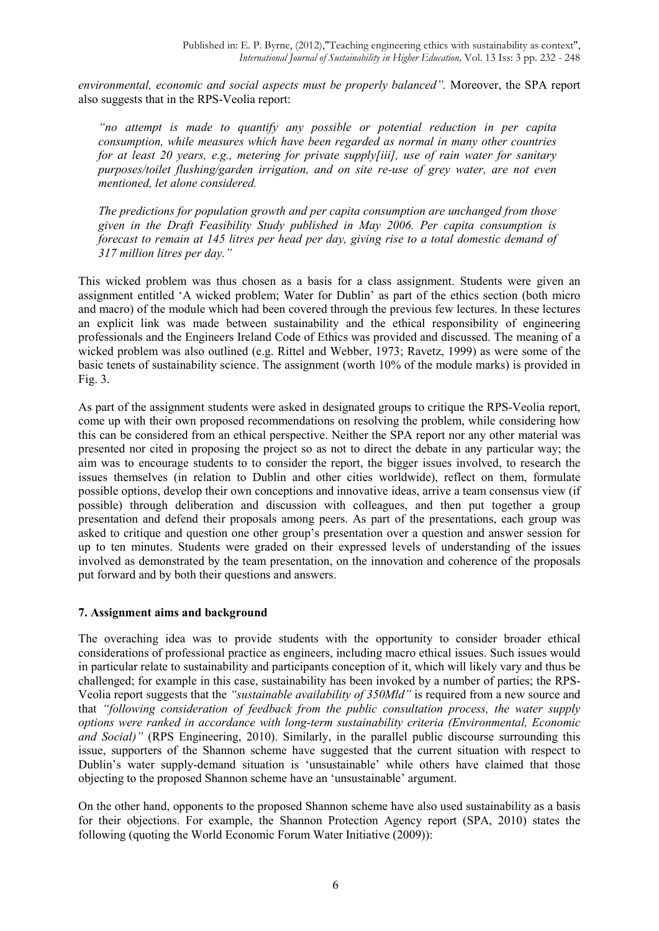*environmental, economic and social aspects must be properly balanced".* Moreover, the SPA report also suggests that in the RPS-Veolia report:

*"no attempt is made to quantify any possible or potential reduction in per capita consumption, while measures which have been regarded as normal in many other countries for at least 20 years, e.g., metering for private supply[iii], use of rain water for sanitary purposes/toilet flushing/garden irrigation, and on site re-use of grey water, are not even mentioned, let alone considered.* 

*The predictions for population growth and per capita consumption are unchanged from those given in the Draft Feasibility Study published in May 2006. Per capita consumption is forecast to remain at 145 litres per head per day, giving rise to a total domestic demand of 317 million litres per day."* 

This wicked problem was thus chosen as a basis for a class assignment. Students were given an assignment entitled 'A wicked problem; Water for Dublin' as part of the ethics section (both micro and macro) of the module which had been covered through the previous few lectures. In these lectures an explicit link was made between sustainability and the ethical responsibility of engineering professionals and the Engineers Ireland Code of Ethics was provided and discussed. The meaning of a wicked problem was also outlined (e.g. Rittel and Webber, 1973; Ravetz, 1999) as were some of the basic tenets of sustainability science. The assignment (worth 10% of the module marks) is provided in Fig. 3.

As part of the assignment students were asked in designated groups to critique the RPS-Veolia report, come up with their own proposed recommendations on resolving the problem, while considering how this can be considered from an ethical perspective. Neither the SPA report nor any other material was presented nor cited in proposing the project so as not to direct the debate in any particular way; the aim was to encourage students to to consider the report, the bigger issues involved, to research the issues themselves (in relation to Dublin and other cities worldwide), reflect on them, formulate possible options, develop their own conceptions and innovative ideas, arrive a team consensus view (if possible) through deliberation and discussion with colleagues, and then put together a group presentation and defend their proposals among peers. As part of the presentations, each group was asked to critique and question one other group's presentation over a question and answer session for up to ten minutes. Students were graded on their expressed levels of understanding of the issues involved as demonstrated by the team presentation, on the innovation and coherence of the proposals put forward and by both their questions and answers.

## **7. Assignment aims and background**

The overaching idea was to provide students with the opportunity to consider broader ethical considerations of professional practice as engineers, including macro ethical issues. Such issues would in particular relate to sustainability and participants conception of it, which will likely vary and thus be challenged; for example in this case, sustainability has been invoked by a number of parties; the RPS-Veolia report suggests that the *"sustainable availability of 350Mld"* is required from a new source and that *"following consideration of feedback from the public consultation process, the water supply options were ranked in accordance with long-term sustainability criteria (Environmental, Economic and Social)*" (RPS Engineering, 2010). Similarly, in the parallel public discourse surrounding this issue, supporters of the Shannon scheme have suggested that the current situation with respect to Dublin's water supply-demand situation is 'unsustainable' while others have claimed that those objecting to the proposed Shannon scheme have an 'unsustainable' argument.

On the other hand, opponents to the proposed Shannon scheme have also used sustainability as a basis for their objections. For example, the Shannon Protection Agency report (SPA, 2010) states the following (quoting the World Economic Forum Water Initiative (2009)):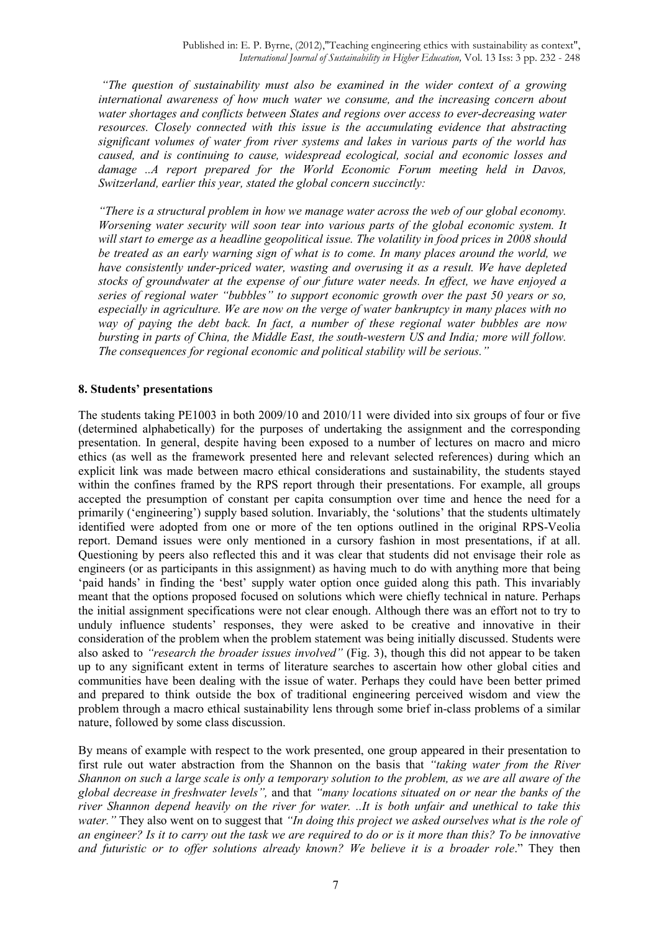*"The question of sustainability must also be examined in the wider context of a growing international awareness of how much water we consume, and the increasing concern about water shortages and conflicts between States and regions over access to ever-decreasing water resources. Closely connected with this issue is the accumulating evidence that abstracting significant volumes of water from river systems and lakes in various parts of the world has caused, and is continuing to cause, widespread ecological, social and economic losses and damage ..A report prepared for the World Economic Forum meeting held in Davos, Switzerland, earlier this year, stated the global concern succinctly:* 

*"There is a structural problem in how we manage water across the web of our global economy. Worsening water security will soon tear into various parts of the global economic system. It will start to emerge as a headline geopolitical issue. The volatility in food prices in 2008 should be treated as an early warning sign of what is to come. In many places around the world, we have consistently under-priced water, wasting and overusing it as a result. We have depleted stocks of groundwater at the expense of our future water needs. In effect, we have enjoyed a series of regional water "bubbles" to support economic growth over the past 50 years or so, especially in agriculture. We are now on the verge of water bankruptcy in many places with no way of paying the debt back. In fact, a number of these regional water bubbles are now bursting in parts of China, the Middle East, the south-western US and India; more will follow. The consequences for regional economic and political stability will be serious."* 

## **8. Students' presentations**

The students taking PE1003 in both 2009/10 and 2010/11 were divided into six groups of four or five (determined alphabetically) for the purposes of undertaking the assignment and the corresponding presentation. In general, despite having been exposed to a number of lectures on macro and micro ethics (as well as the framework presented here and relevant selected references) during which an explicit link was made between macro ethical considerations and sustainability, the students stayed within the confines framed by the RPS report through their presentations. For example, all groups accepted the presumption of constant per capita consumption over time and hence the need for a primarily ('engineering') supply based solution. Invariably, the 'solutions' that the students ultimately identified were adopted from one or more of the ten options outlined in the original RPS-Veolia report. Demand issues were only mentioned in a cursory fashion in most presentations, if at all. Questioning by peers also reflected this and it was clear that students did not envisage their role as engineers (or as participants in this assignment) as having much to do with anything more that being 'paid hands' in finding the 'best' supply water option once guided along this path. This invariably meant that the options proposed focused on solutions which were chiefly technical in nature. Perhaps the initial assignment specifications were not clear enough. Although there was an effort not to try to unduly influence students' responses, they were asked to be creative and innovative in their consideration of the problem when the problem statement was being initially discussed. Students were also asked to *"research the broader issues involved"* (Fig. 3), though this did not appear to be taken up to any significant extent in terms of literature searches to ascertain how other global cities and communities have been dealing with the issue of water. Perhaps they could have been better primed and prepared to think outside the box of traditional engineering perceived wisdom and view the problem through a macro ethical sustainability lens through some brief in-class problems of a similar nature, followed by some class discussion.

By means of example with respect to the work presented, one group appeared in their presentation to first rule out water abstraction from the Shannon on the basis that *"taking water from the River Shannon on such a large scale is only a temporary solution to the problem, as we are all aware of the global decrease in freshwater levels",* and that *"many locations situated on or near the banks of the river Shannon depend heavily on the river for water. ..It is both unfair and unethical to take this water."* They also went on to suggest that *"In doing this project we asked ourselves what is the role of an engineer? Is it to carry out the task we are required to do or is it more than this? To be innovative*  and futuristic or to offer solutions already known? We believe it is a broader role." They then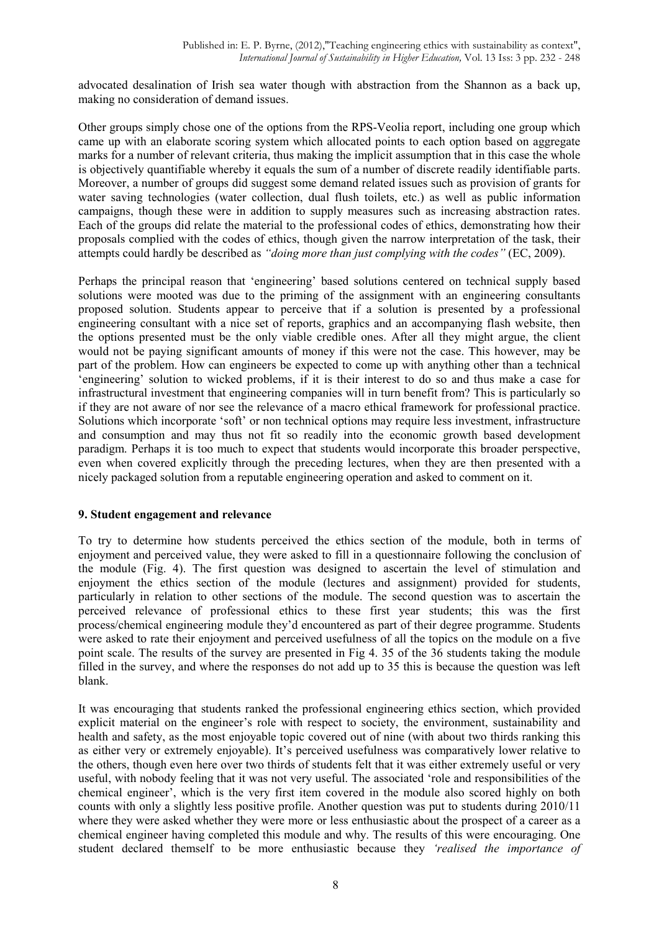advocated desalination of Irish sea water though with abstraction from the Shannon as a back up, making no consideration of demand issues.

Other groups simply chose one of the options from the RPS-Veolia report, including one group which came up with an elaborate scoring system which allocated points to each option based on aggregate marks for a number of relevant criteria, thus making the implicit assumption that in this case the whole is objectively quantifiable whereby it equals the sum of a number of discrete readily identifiable parts. Moreover, a number of groups did suggest some demand related issues such as provision of grants for water saving technologies (water collection, dual flush toilets, etc.) as well as public information campaigns, though these were in addition to supply measures such as increasing abstraction rates. Each of the groups did relate the material to the professional codes of ethics, demonstrating how their proposals complied with the codes of ethics, though given the narrow interpretation of the task, their attempts could hardly be described as *"doing more than just complying with the codes"* (EC, 2009).

Perhaps the principal reason that 'engineering' based solutions centered on technical supply based solutions were mooted was due to the priming of the assignment with an engineering consultants proposed solution. Students appear to perceive that if a solution is presented by a professional engineering consultant with a nice set of reports, graphics and an accompanying flash website, then the options presented must be the only viable credible ones. After all they might argue, the client would not be paying significant amounts of money if this were not the case. This however, may be part of the problem. How can engineers be expected to come up with anything other than a technical 'engineering' solution to wicked problems, if it is their interest to do so and thus make a case for infrastructural investment that engineering companies will in turn benefit from? This is particularly so if they are not aware of nor see the relevance of a macro ethical framework for professional practice. Solutions which incorporate 'soft' or non technical options may require less investment, infrastructure and consumption and may thus not fit so readily into the economic growth based development paradigm. Perhaps it is too much to expect that students would incorporate this broader perspective, even when covered explicitly through the preceding lectures, when they are then presented with a nicely packaged solution from a reputable engineering operation and asked to comment on it.

#### **9. Student engagement and relevance**

To try to determine how students perceived the ethics section of the module, both in terms of enjoyment and perceived value, they were asked to fill in a questionnaire following the conclusion of the module (Fig. 4). The first question was designed to ascertain the level of stimulation and enjoyment the ethics section of the module (lectures and assignment) provided for students, particularly in relation to other sections of the module. The second question was to ascertain the perceived relevance of professional ethics to these first year students; this was the first process/chemical engineering module they'd encountered as part of their degree programme. Students were asked to rate their enjoyment and perceived usefulness of all the topics on the module on a five point scale. The results of the survey are presented in Fig 4. 35 of the 36 students taking the module filled in the survey, and where the responses do not add up to 35 this is because the question was left blank.

It was encouraging that students ranked the professional engineering ethics section, which provided explicit material on the engineer's role with respect to society, the environment, sustainability and health and safety, as the most enjoyable topic covered out of nine (with about two thirds ranking this as either very or extremely enjoyable). It's perceived usefulness was comparatively lower relative to the others, though even here over two thirds of students felt that it was either extremely useful or very useful, with nobody feeling that it was not very useful. The associated 'role and responsibilities of the chemical engineer', which is the very first item covered in the module also scored highly on both counts with only a slightly less positive profile. Another question was put to students during 2010/11 where they were asked whether they were more or less enthusiastic about the prospect of a career as a chemical engineer having completed this module and why. The results of this were encouraging. One student declared themself to be more enthusiastic because they *'realised the importance of*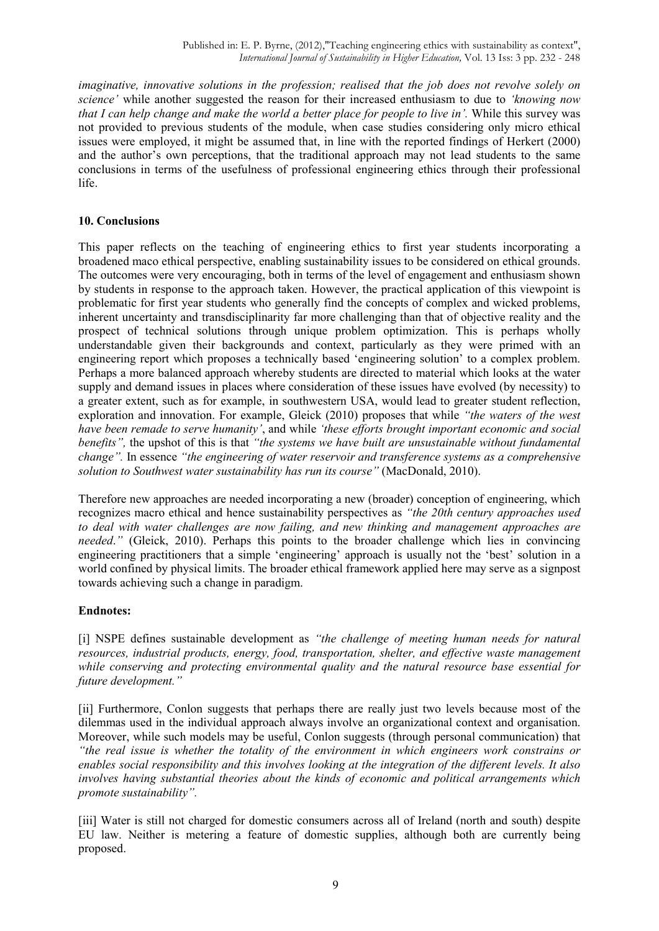*imaginative, innovative solutions in the profession; realised that the job does not revolve solely on science'* while another suggested the reason for their increased enthusiasm to due to *'knowing now that I can help change and make the world a better place for people to live in'.* While this survey was not provided to previous students of the module, when case studies considering only micro ethical issues were employed, it might be assumed that, in line with the reported findings of Herkert (2000) and the author's own perceptions, that the traditional approach may not lead students to the same conclusions in terms of the usefulness of professional engineering ethics through their professional life.

# **10. Conclusions**

This paper reflects on the teaching of engineering ethics to first year students incorporating a broadened maco ethical perspective, enabling sustainability issues to be considered on ethical grounds. The outcomes were very encouraging, both in terms of the level of engagement and enthusiasm shown by students in response to the approach taken. However, the practical application of this viewpoint is problematic for first year students who generally find the concepts of complex and wicked problems, inherent uncertainty and transdisciplinarity far more challenging than that of objective reality and the prospect of technical solutions through unique problem optimization. This is perhaps wholly understandable given their backgrounds and context, particularly as they were primed with an engineering report which proposes a technically based 'engineering solution' to a complex problem. Perhaps a more balanced approach whereby students are directed to material which looks at the water supply and demand issues in places where consideration of these issues have evolved (by necessity) to a greater extent, such as for example, in southwestern USA, would lead to greater student reflection, exploration and innovation. For example, Gleick (2010) proposes that while *"the waters of the west have been remade to serve humanity'*, and while *'these efforts brought important economic and social benefits",* the upshot of this is that *"the systems we have built are unsustainable without fundamental change".* In essence *"the engineering of water reservoir and transference systems as a comprehensive solution to Southwest water sustainability has run its course"* (MacDonald, 2010).

Therefore new approaches are needed incorporating a new (broader) conception of engineering, which recognizes macro ethical and hence sustainability perspectives as *"the 20th century approaches used to deal with water challenges are now failing, and new thinking and management approaches are needed*.*"* (Gleick, 2010). Perhaps this points to the broader challenge which lies in convincing engineering practitioners that a simple 'engineering' approach is usually not the 'best' solution in a world confined by physical limits. The broader ethical framework applied here may serve as a signpost towards achieving such a change in paradigm.

## **Endnotes:**

[i] NSPE defines sustainable development as *"the challenge of meeting human needs for natural resources, industrial products, energy, food, transportation, shelter, and effective waste management while conserving and protecting environmental quality and the natural resource base essential for future development."*

[ii] Furthermore, Conlon suggests that perhaps there are really just two levels because most of the dilemmas used in the individual approach always involve an organizational context and organisation. Moreover, while such models may be useful, Conlon suggests (through personal communication) that *"the real issue is whether the totality of the environment in which engineers work constrains or enables social responsibility and this involves looking at the integration of the different levels. It also involves having substantial theories about the kinds of economic and political arrangements which promote sustainability".*

[iii] Water is still not charged for domestic consumers across all of Ireland (north and south) despite EU law. Neither is metering a feature of domestic supplies, although both are currently being proposed.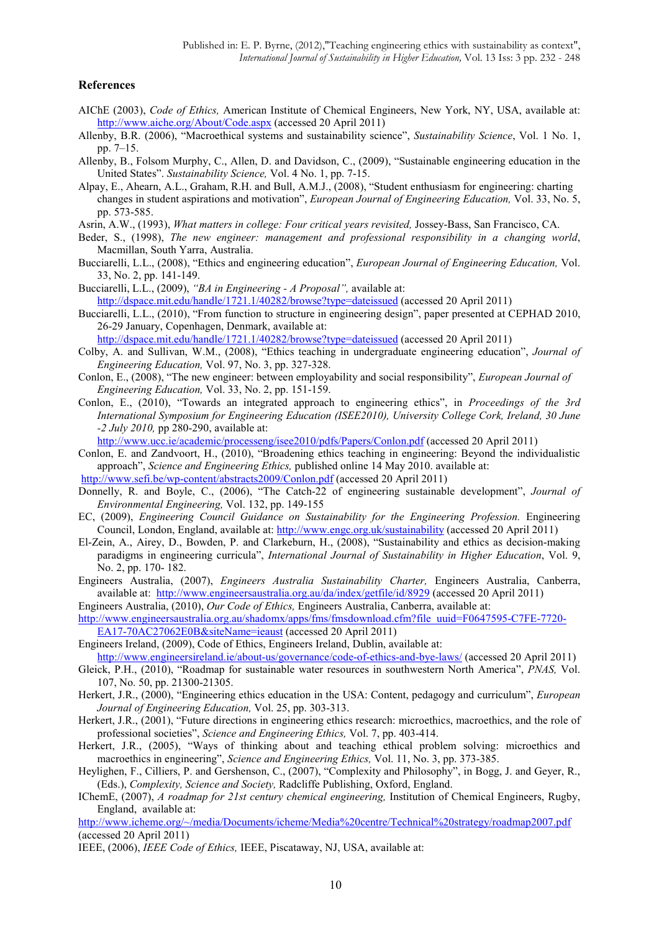#### **References**

- AIChE (2003), *Code of Ethics,* American Institute of Chemical Engineers, New York, NY, USA, available at: http://www.aiche.org/About/Code.aspx (accessed 20 April 2011)
- Allenby, B.R. (2006), "Macroethical systems and sustainability science", *Sustainability Science*, Vol. 1 No. 1, pp. 7–15.
- Allenby, B., Folsom Murphy, C., Allen, D. and Davidson, C., (2009), "Sustainable engineering education in the United States". *Sustainability Science,* Vol. 4 No. 1, pp. 7-15.
- Alpay, E., Ahearn, A.L., Graham, R.H. and Bull, A.M.J., (2008), "Student enthusiasm for engineering: charting changes in student aspirations and motivation", *European Journal of Engineering Education,* Vol. 33, No. 5, pp. 573-585.
- Asrin, A.W., (1993), *What matters in college: Four critical years revisited,* Jossey-Bass, San Francisco, CA.
- Beder, S., (1998), *The new engineer: management and professional responsibility in a changing world*, Macmillan, South Yarra, Australia.
- Bucciarelli, L.L., (2008), "Ethics and engineering education", *European Journal of Engineering Education,* Vol. 33, No. 2, pp. 141-149.
- Bucciarelli, L.L., (2009), *"BA in Engineering A Proposal",* available at: http://dspace.mit.edu/handle/1721.1/40282/browse?type=dateissued (accessed 20 April 2011)
- Bucciarelli, L.L., (2010), "From function to structure in engineering design", paper presented at CEPHAD 2010, 26-29 January, Copenhagen, Denmark, available at:

http://dspace.mit.edu/handle/1721.1/40282/browse?type=dateissued (accessed 20 April 2011)

- Colby, A. and Sullivan, W.M., (2008), "Ethics teaching in undergraduate engineering education", *Journal of Engineering Education,* Vol. 97, No. 3, pp. 327-328.
- Conlon, E., (2008), "The new engineer: between employability and social responsibility", *European Journal of Engineering Education,* Vol. 33, No. 2, pp. 151-159.
- Conlon, E., (2010), "Towards an integrated approach to engineering ethics", in *Proceedings of the 3rd International Symposium for Engineering Education (ISEE2010), University College Cork, Ireland, 30 June -2 July 2010,* pp 280-290, available at:

http://www.ucc.ie/academic/processeng/isee2010/pdfs/Papers/Conlon.pdf (accessed 20 April 2011)

Conlon, E. and Zandvoort, H., (2010), "Broadening ethics teaching in engineering: Beyond the individualistic approach", *Science and Engineering Ethics,* published online 14 May 2010. available at:

http://www.sefi.be/wp-content/abstracts2009/Conlon.pdf (accessed 20 April 2011)

- Donnelly, R. and Boyle, C., (2006), "The Catch-22 of engineering sustainable development", *Journal of Environmental Engineering,* Vol. 132, pp. 149-155
- EC, (2009), *Engineering Council Guidance on Sustainability for the Engineering Profession.* Engineering Council, London, England, available at: http://www.engc.org.uk/sustainability (accessed 20 April 2011)
- El-Zein, A., Airey, D., Bowden, P. and Clarkeburn, H., (2008), "Sustainability and ethics as decision-making paradigms in engineering curricula", *International Journal of Sustainability in Higher Education*, Vol. 9, No. 2, pp. 170- 182.
- Engineers Australia, (2007), *Engineers Australia Sustainability Charter,* Engineers Australia, Canberra, available at: http://www.engineersaustralia.org.au/da/index/getfile/id/8929 (accessed 20 April 2011)

Engineers Australia, (2010), *Our Code of Ethics,* Engineers Australia, Canberra, available at:

http://www.engineersaustralia.org.au/shadomx/apps/fms/fmsdownload.cfm?file\_uuid=F0647595-C7FE-7720-EA17-70AC27062E0B&siteName=ieaust (accessed 20 April 2011)

Engineers Ireland, (2009), Code of Ethics, Engineers Ireland, Dublin, available at:

- Gleick, P.H., (2010), "Roadmap for sustainable water resources in southwestern North America", *PNAS,* Vol. 107, No. 50, pp. 21300-21305.
- Herkert, J.R., (2000), "Engineering ethics education in the USA: Content, pedagogy and curriculum", *European Journal of Engineering Education,* Vol. 25, pp. 303-313.
- Herkert, J.R., (2001), "Future directions in engineering ethics research: microethics, macroethics, and the role of professional societies", *Science and Engineering Ethics,* Vol. 7, pp. 403-414.
- Herkert, J.R., (2005), "Ways of thinking about and teaching ethical problem solving: microethics and macroethics in engineering", *Science and Engineering Ethics,* Vol. 11, No. 3, pp. 373-385.
- Heylighen, F., Cilliers, P. and Gershenson, C., (2007), "Complexity and Philosophy", in Bogg, J. and Geyer, R., (Eds.), *Complexity, Science and Society,* Radcliffe Publishing, Oxford, England.
- IChemE, (2007), *A roadmap for 21st century chemical engineering,* Institution of Chemical Engineers, Rugby, England, available at:

http://www.icheme.org/~/media/Documents/icheme/Media%20centre/Technical%20strategy/roadmap2007.pdf (accessed 20 April 2011)

IEEE, (2006), *IEEE Code of Ethics,* IEEE, Piscataway, NJ, USA, available at:

http://www.engineersireland.ie/about-us/governance/code-of-ethics-and-bye-laws/ (accessed 20 April 2011)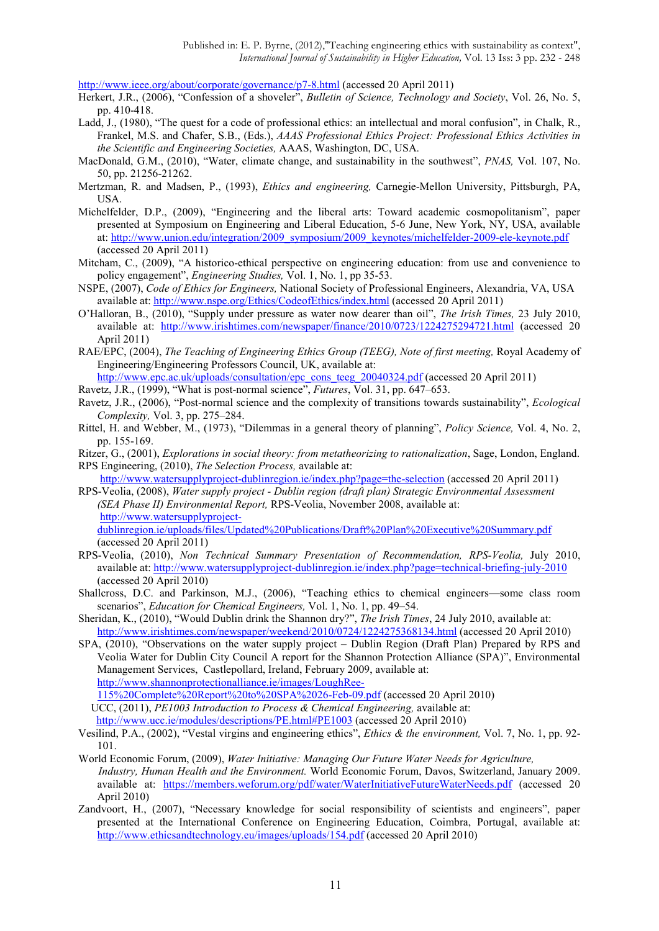http://www.ieee.org/about/corporate/governance/p7-8.html (accessed 20 April 2011)

- Herkert, J.R., (2006), "Confession of a shoveler", *Bulletin of Science, Technology and Society*, Vol. 26, No. 5, pp. 410-418.
- Ladd, J., (1980), "The quest for a code of professional ethics: an intellectual and moral confusion", in Chalk, R., Frankel, M.S. and Chafer, S.B., (Eds.), *AAAS Professional Ethics Project: Professional Ethics Activities in the Scientific and Engineering Societies,* AAAS, Washington, DC, USA.
- MacDonald, G.M., (2010), "Water, climate change, and sustainability in the southwest", *PNAS,* Vol. 107, No. 50, pp. 21256-21262.
- Mertzman, R. and Madsen, P., (1993), *Ethics and engineering,* Carnegie-Mellon University, Pittsburgh, PA, USA.
- Michelfelder, D.P., (2009), "Engineering and the liberal arts: Toward academic cosmopolitanism", paper presented at Symposium on Engineering and Liberal Education, 5-6 June, New York, NY, USA, available at: http://www.union.edu/integration/2009\_symposium/2009\_keynotes/michelfelder-2009-ele-keynote.pdf (accessed 20 April 2011)
- Mitcham, C., (2009), "A historico-ethical perspective on engineering education: from use and convenience to policy engagement", *Engineering Studies,* Vol. 1, No. 1, pp 35-53.
- NSPE, (2007), *Code of Ethics for Engineers,* National Society of Professional Engineers, Alexandria, VA, USA available at: http://www.nspe.org/Ethics/CodeofEthics/index.html (accessed 20 April 2011)
- O'Halloran, B., (2010), "Supply under pressure as water now dearer than oil", *The Irish Times,* 23 July 2010, available at: http://www.irishtimes.com/newspaper/finance/2010/0723/1224275294721.html (accessed 20 April 2011)
- RAE/EPC, (2004), *The Teaching of Engineering Ethics Group (TEEG), Note of first meeting, Royal Academy of* Engineering/Engineering Professors Council, UK, available at:
- http://www.epc.ac.uk/uploads/consultation/epc\_cons\_teeg\_20040324.pdf (accessed 20 April 2011)
- Ravetz, J.R., (1999), "What is post-normal science", *Futures*, Vol. 31, pp. 647–653.
- Ravetz, J.R., (2006), "Post-normal science and the complexity of transitions towards sustainability", *Ecological Complexity,* Vol. 3, pp. 275–284.
- Rittel, H. and Webber, M., (1973), "Dilemmas in a general theory of planning", *Policy Science,* Vol. 4, No. 2, pp. 155-169.
- Ritzer, G., (2001), *Explorations in social theory: from metatheorizing to rationalization*, Sage, London, England. RPS Engineering, (2010), *The Selection Process,* available at:
- http://www.watersupplyproject-dublinregion.ie/index.php?page=the-selection (accessed 20 April 2011) RPS-Veolia, (2008), *Water supply project - Dublin region (draft plan) Strategic Environmental Assessment (SEA Phase II) Environmental Report,* RPS-Veolia, November 2008, available at: http://www.watersupplyprojectdublinregion.ie/uploads/files/Updated%20Publications/Draft%20Plan%20Executive%20Summary.pdf (accessed 20 April 2011)
- RPS-Veolia, (2010), *Non Technical Summary Presentation of Recommendation, RPS-Veolia,* July 2010, available at: http://www.watersupplyproject-dublinregion.ie/index.php?page=technical-briefing-july-2010 (accessed 20 April 2010)
- Shallcross, D.C. and Parkinson, M.J., (2006), "Teaching ethics to chemical engineers—some class room scenarios", *Education for Chemical Engineers,* Vol. 1, No. 1, pp. 49–54.
- Sheridan, K., (2010), "Would Dublin drink the Shannon dry?", *The Irish Times*, 24 July 2010, available at: http://www.irishtimes.com/newspaper/weekend/2010/0724/1224275368134.html (accessed 20 April 2010)
- SPA, (2010), "Observations on the water supply project Dublin Region (Draft Plan) Prepared by RPS and Veolia Water for Dublin City Council A report for the Shannon Protection Alliance (SPA)", Environmental Management Services, Castlepollard, Ireland, February 2009, available at: http://www.shannonprotectionalliance.ie/images/LoughRee-115%20Complete%20Report%20to%20SPA%2026-Feb-09.pdf (accessed 20 April 2010)
	- UCC, (2011), *PE1003 Introduction to Process & Chemical Engineering*, available at:
	- http://www.ucc.ie/modules/descriptions/PE.html#PE1003 (accessed 20 April 2010)
- Vesilind, P.A., (2002), "Vestal virgins and engineering ethics", *Ethics & the environment,* Vol. 7, No. 1, pp. 92- 101.
- World Economic Forum, (2009), *Water Initiative: Managing Our Future Water Needs for Agriculture, Industry, Human Health and the Environment.* World Economic Forum, Davos, Switzerland, January 2009. available at: https://members.weforum.org/pdf/water/WaterInitiativeFutureWaterNeeds.pdf (accessed 20 April 2010)
- Zandvoort, H., (2007), "Necessary knowledge for social responsibility of scientists and engineers", paper presented at the International Conference on Engineering Education, Coimbra, Portugal, available at: http://www.ethicsandtechnology.eu/images/uploads/154.pdf (accessed 20 April 2010)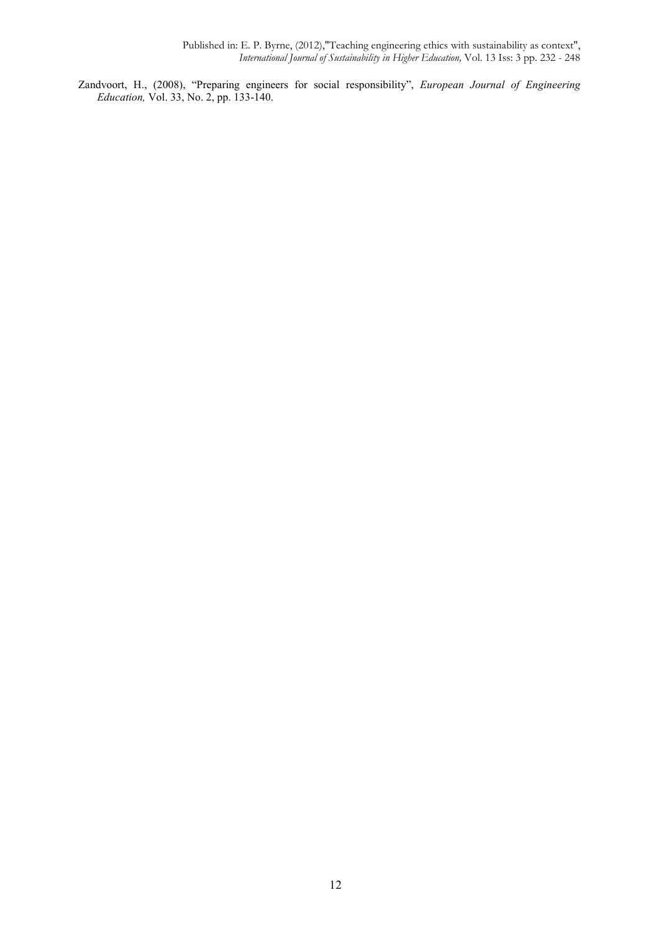Zandvoort, H., (2008), "Preparing engineers for social responsibility", *European Journal of Engineering Education,* Vol. 33, No. 2, pp. 133-140.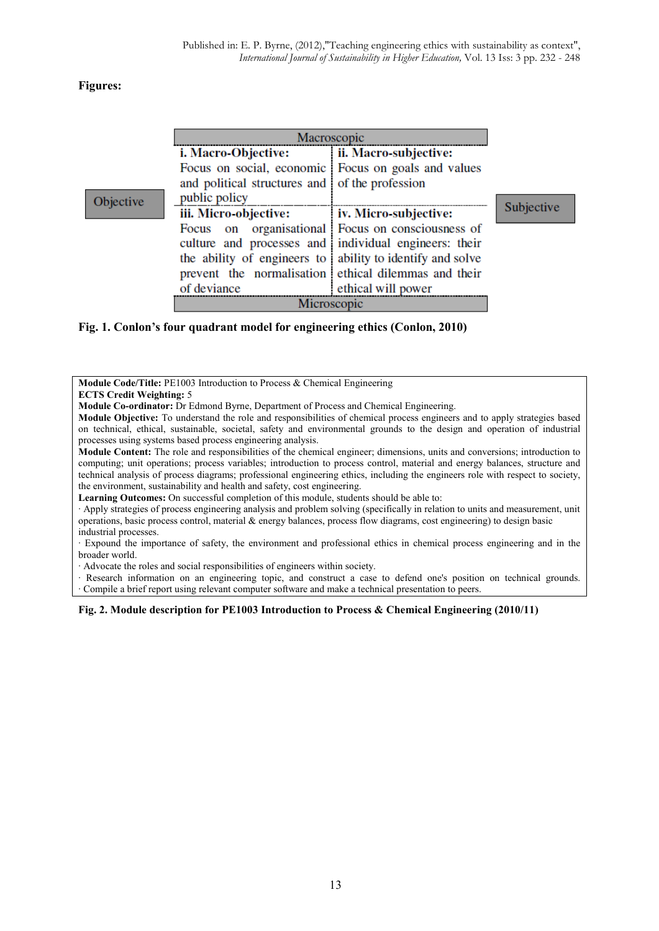# **Figures:**

|           | Macroscopic                                               |                              |          |
|-----------|-----------------------------------------------------------|------------------------------|----------|
|           | i. Macro-Objective:                                       | ii. Macro-subjective:        |          |
|           | Focus on social, economic Focus on goals and values       |                              |          |
|           | and political structures and of the profession            |                              |          |
| Objective | public policy                                             |                              |          |
|           | iii. Micro-objective:                                     | <i>iv.</i> Micro-subjective: | Subjecti |
|           | Focus on organisational Focus on consciousness of         |                              |          |
|           | culture and processes and individual engineers: their     |                              |          |
|           | the ability of engineers to ability to identify and solve |                              |          |
|           | prevent the normalisation ethical dilemmas and their      |                              |          |
|           | of deviance                                               | ethical will power           |          |
|           | Microscopic                                               |                              |          |

## **Fig. 1. Conlon's four quadrant model for engineering ethics (Conlon, 2010)**

**Module Code/Title:** PE1003 Introduction to Process & Chemical Engineering

**ECTS Credit Weighting:** 5

**Module Co-ordinator:** Dr Edmond Byrne, Department of Process and Chemical Engineering.

**Module Objective:** To understand the role and responsibilities of chemical process engineers and to apply strategies based on technical, ethical, sustainable, societal, safety and environmental grounds to the design and operation of industrial processes using systems based process engineering analysis.

**Module Content:** The role and responsibilities of the chemical engineer; dimensions, units and conversions; introduction to computing; unit operations; process variables; introduction to process control, material and energy balances, structure and technical analysis of process diagrams; professional engineering ethics, including the engineers role with respect to society, the environment, sustainability and health and safety, cost engineering.

Learning Outcomes: On successful completion of this module, students should be able to:

· Apply strategies of process engineering analysis and problem solving (specifically in relation to units and measurement, unit operations, basic process control, material & energy balances, process flow diagrams, cost engineering) to design basic industrial processes.

· Expound the importance of safety, the environment and professional ethics in chemical process engineering and in the broader world.

· Advocate the roles and social responsibilities of engineers within society.

· Research information on an engineering topic, and construct a case to defend one's position on technical grounds. · Compile a brief report using relevant computer software and make a technical presentation to peers.

**Fig. 2. Module description for PE1003 Introduction to Process & Chemical Engineering (2010/11)**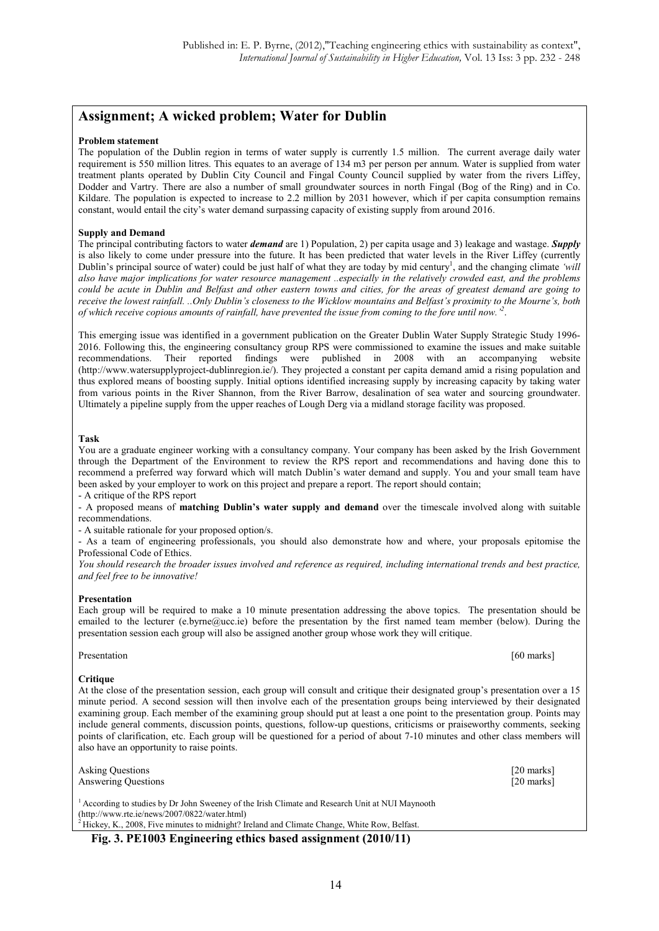# **Assignment; A wicked problem; Water for Dublin**

#### **Problem statement**

The population of the Dublin region in terms of water supply is currently 1.5 million. The current average daily water requirement is 550 million litres. This equates to an average of 134 m3 per person per annum. Water is supplied from water treatment plants operated by Dublin City Council and Fingal County Council supplied by water from the rivers Liffey, Dodder and Vartry. There are also a number of small groundwater sources in north Fingal (Bog of the Ring) and in Co. Kildare. The population is expected to increase to 2.2 million by 2031 however, which if per capita consumption remains constant, would entail the city's water demand surpassing capacity of existing supply from around 2016.

#### **Supply and Demand**

The principal contributing factors to water *demand* are 1) Population, 2) per capita usage and 3) leakage and wastage. *Supply*  is also likely to come under pressure into the future. It has been predicted that water levels in the River Liffey (currently Dublin's principal source of water) could be just half of what they are today by mid century<sup>1</sup>, and the changing climate *'will also have major implications for water resource management ..especially in the relatively crowded east, and the problems could be acute in Dublin and Belfast and other eastern towns and cities, for the areas of greatest demand are going to receive the lowest rainfall. ..Only Dublin's closeness to the Wicklow mountains and Belfast's proximity to the Mourne's, both of which receive copious amounts of rainfall, have prevented the issue from coming to the fore until now.'<sup>2</sup>* .

This emerging issue was identified in a government publication on the Greater Dublin Water Supply Strategic Study 1996- 2016. Following this, the engineering consultancy group RPS were commissioned to examine the issues and make suitable recommendations. Their reported findings were published in 2008 with an accompanying website (http://www.watersupplyproject-dublinregion.ie/). They projected a constant per capita demand amid a rising population and thus explored means of boosting supply. Initial options identified increasing supply by increasing capacity by taking water from various points in the River Shannon, from the River Barrow, desalination of sea water and sourcing groundwater. Ultimately a pipeline supply from the upper reaches of Lough Derg via a midland storage facility was proposed.

#### **Task**

You are a graduate engineer working with a consultancy company. Your company has been asked by the Irish Government through the Department of the Environment to review the RPS report and recommendations and having done this to recommend a preferred way forward which will match Dublin's water demand and supply. You and your small team have been asked by your employer to work on this project and prepare a report. The report should contain;

- A critique of the RPS report

- A proposed means of **matching Dublin's water supply and demand** over the timescale involved along with suitable recommendations.

- A suitable rationale for your proposed option/s.

- As a team of engineering professionals, you should also demonstrate how and where, your proposals epitomise the Professional Code of Ethics.

*You should research the broader issues involved and reference as required, including international trends and best practice, and feel free to be innovative!* 

#### **Presentation**

Each group will be required to make a 10 minute presentation addressing the above topics. The presentation should be emailed to the lecturer (e.byrne@ucc.ie) before the presentation by the first named team member (below). During the presentation session each group will also be assigned another group whose work they will critique.

Presentation [60 marks] [60 marks]

Answering Questions

#### **Critique**

At the close of the presentation session, each group will consult and critique their designated group's presentation over a 15 minute period. A second session will then involve each of the presentation groups being interviewed by their designated examining group. Each member of the examining group should put at least a one point to the presentation group. Points may include general comments, discussion points, questions, follow-up questions, criticisms or praiseworthy comments, seeking points of clarification, etc. Each group will be questioned for a period of about 7-10 minutes and other class members will also have an opportunity to raise points.

Asking Questions [20 marks]<br>Answering Questions [20 marks]<br>
[20 marks]

<sup>1</sup> According to studies by Dr John Sweeney of the Irish Climate and Research Unit at NUI Maynooth (http://www.rte.ie/news/2007/0822/water.html)  $2$  Hickey, K., 2008, Five minutes to midnight? Ireland and Climate Change, White Row, Belfast.

#### **Fig. 3. PE1003 Engineering ethics based assignment (2010/11)**